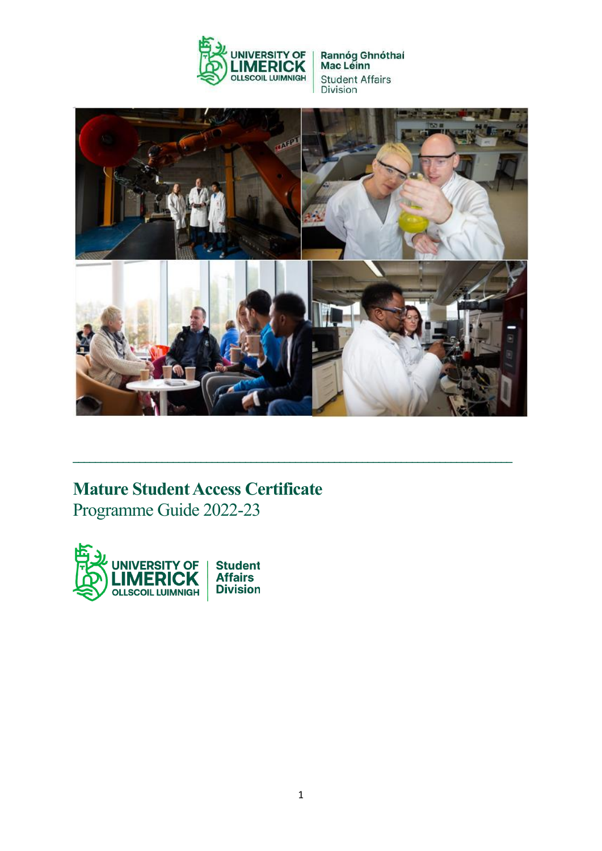



**\_\_\_\_\_\_\_\_\_\_\_\_\_\_\_\_\_\_\_\_\_\_\_\_\_\_\_\_\_\_\_\_\_\_\_\_\_\_\_\_\_\_\_\_\_\_\_\_\_\_\_\_\_\_\_\_\_\_\_\_\_\_\_\_\_\_\_\_\_\_\_\_\_\_\_\_\_\_\_**

# **Mature Student Access Certificate** Programme Guide 2022-23

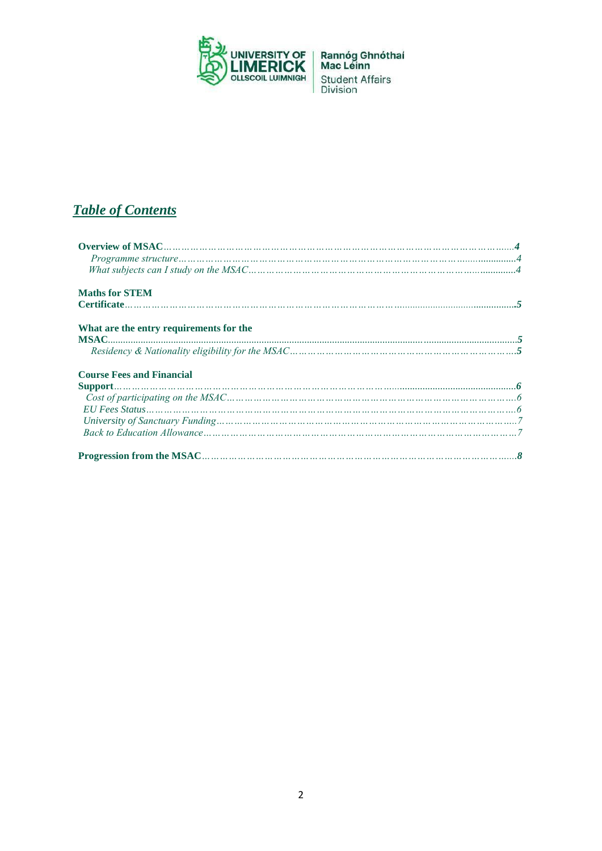

# *Table of Contents*

| <b>Maths for STEM</b>                                                                                                                                                                                                                                                                                                                                                                                                                                                                                                                                                                |  |
|--------------------------------------------------------------------------------------------------------------------------------------------------------------------------------------------------------------------------------------------------------------------------------------------------------------------------------------------------------------------------------------------------------------------------------------------------------------------------------------------------------------------------------------------------------------------------------------|--|
|                                                                                                                                                                                                                                                                                                                                                                                                                                                                                                                                                                                      |  |
| What are the entry requirements for the<br>$\text{MSAC} \text{} \text{} \quad \text{---} \quad \text{---} \quad \text{---} \quad \text{---} \quad \text{---} \quad \text{---} \quad \text{---} \quad \text{---} \quad \text{---} \quad \text{---} \quad \text{---} \quad \text{---} \quad \text{---} \quad \text{---} \quad \text{---} \quad \text{---} \quad \text{---} \quad \text{---} \quad \text{---} \quad \text{---} \quad \text{---} \quad \text{---} \quad \text{---} \quad \text{---} \quad \text{---} \quad \text{---} \quad \text{---} \quad \text{---} \quad \text{---$ |  |
|                                                                                                                                                                                                                                                                                                                                                                                                                                                                                                                                                                                      |  |
| <b>Course Fees and Financial</b>                                                                                                                                                                                                                                                                                                                                                                                                                                                                                                                                                     |  |
|                                                                                                                                                                                                                                                                                                                                                                                                                                                                                                                                                                                      |  |
|                                                                                                                                                                                                                                                                                                                                                                                                                                                                                                                                                                                      |  |
|                                                                                                                                                                                                                                                                                                                                                                                                                                                                                                                                                                                      |  |
|                                                                                                                                                                                                                                                                                                                                                                                                                                                                                                                                                                                      |  |
|                                                                                                                                                                                                                                                                                                                                                                                                                                                                                                                                                                                      |  |
|                                                                                                                                                                                                                                                                                                                                                                                                                                                                                                                                                                                      |  |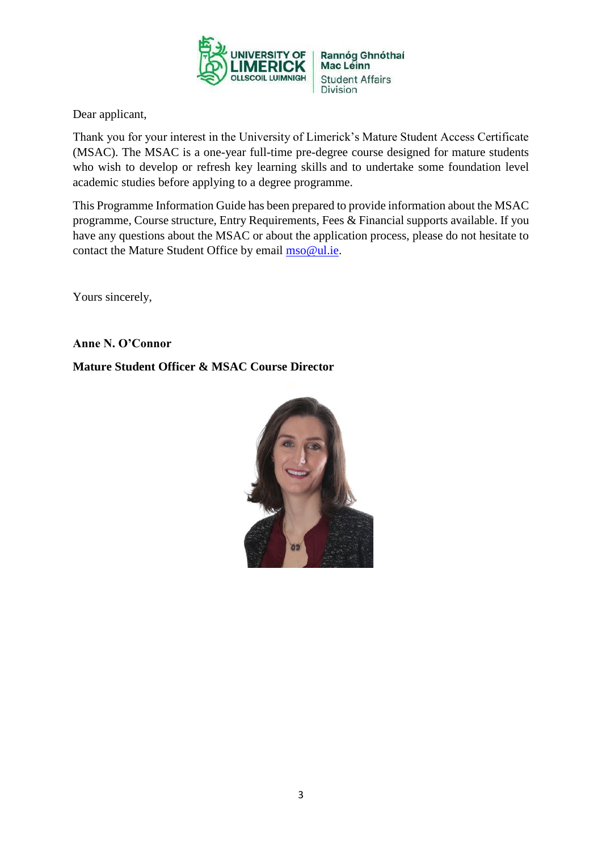

Dear applicant,

Thank you for your interest in the University of Limerick's Mature Student Access Certificate (MSAC). The MSAC is a one-year full-time pre-degree course designed for mature students who wish to develop or refresh key learning skills and to undertake some foundation level academic studies before applying to a degree programme.

This Programme Information Guide has been prepared to provide information about the MSAC programme, Course structure, Entry Requirements, Fees & Financial supports available. If you have any questions about the MSAC or about the application process, please do not hesitate to contact the Mature Student Office by email [mso@ul.ie.](mailto:mso@ul.ie)

Yours sincerely,

**Anne N. O'Connor**

#### **Mature Student Officer & MSAC Course Director**

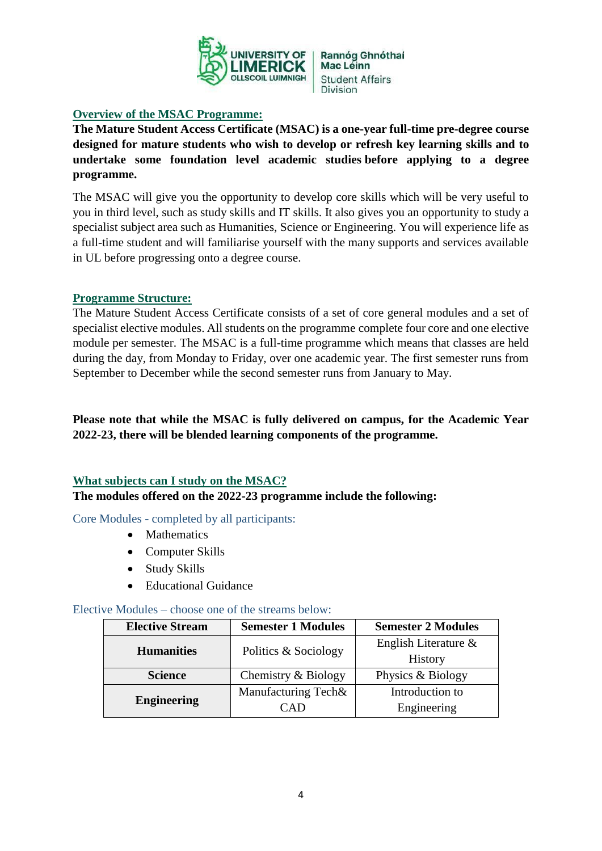

#### **Overview of the MSAC Programme:**

**The Mature Student Access Certificate (MSAC) is a one-year full-time pre-degree course designed for mature students who wish to develop or refresh key learning skills and to undertake some foundation level academic studies before applying to a degree programme.**

The MSAC will give you the opportunity to develop core skills which will be very useful to you in third level, such as study skills and IT skills. It also gives you an opportunity to study a specialist subject area such as Humanities, Science or Engineering. You will experience life as a full-time student and will familiarise yourself with the many supports and services available in UL before progressing onto a degree course.

#### **Programme Structure:**

The Mature Student Access Certificate consists of a set of core general modules and a set of specialist elective modules. All students on the programme complete four core and one elective module per semester. The MSAC is a full-time programme which means that classes are held during the day, from Monday to Friday, over one academic year. The first semester runs from September to December while the second semester runs from January to May.

**Please note that while the MSAC is fully delivered on campus, for the Academic Year 2022-23, there will be blended learning components of the programme.**

## **What subjects can I study on the MSAC?**

**The modules offered on the 2022-23 programme include the following:** 

Core Modules - completed by all participants:

- Mathematics
- Computer Skills
- Study Skills
- Educational Guidance

#### Elective Modules – choose one of the streams below:

| <b>Elective Stream</b> | <b>Semester 1 Modules</b> | <b>Semester 2 Modules</b> |
|------------------------|---------------------------|---------------------------|
| <b>Humanities</b>      | Politics & Sociology      | English Literature $\&$   |
|                        |                           | <b>History</b>            |
| <b>Science</b>         | Chemistry & Biology       | Physics & Biology         |
| <b>Engineering</b>     | Manufacturing Tech&       | Introduction to           |
|                        | (A1)                      | Engineering               |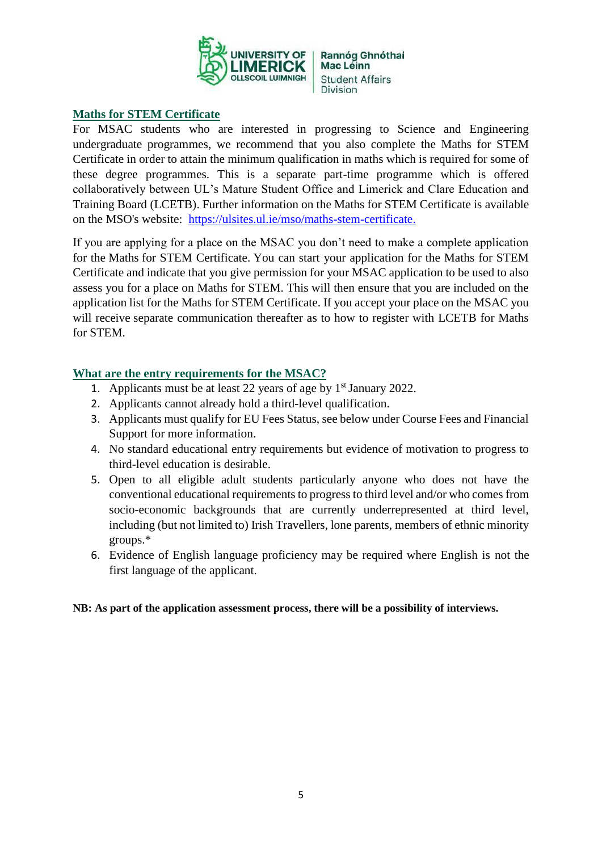

#### **Maths for STEM Certificate**

For MSAC students who are interested in progressing to Science and Engineering undergraduate programmes, we recommend that you also complete the Maths for STEM Certificate in order to attain the minimum qualification in maths which is required for some of these degree programmes. This is a separate part-time programme which is offered collaboratively between UL's Mature Student Office and Limerick and Clare Education and Training Board (LCETB). Further information on the Maths for STEM Certificate is available on the MSO's website: [https://ulsites.ul.ie/mso/maths-stem-certificate.](https://ulsites.ul.ie/mso/maths-stem-certificate)

If you are applying for a place on the MSAC you don't need to make a complete application for the Maths for STEM Certificate. You can start your application for the Maths for STEM Certificate and indicate that you give permission for your MSAC application to be used to also assess you for a place on Maths for STEM. This will then ensure that you are included on the application list for the Maths for STEM Certificate. If you accept your place on the MSAC you will receive separate communication thereafter as to how to register with LCETB for Maths for STEM.

#### **What are the entry requirements for the MSAC?**

- 1. Applicants must be at least 22 years of age by  $1<sup>st</sup>$  January 2022.
- 2. Applicants cannot already hold a third-level qualification.
- 3. Applicants must qualify for EU Fees Status, see below under Course Fees and Financial Support for more information.
- 4. No standard educational entry requirements but evidence of motivation to progress to third-level education is desirable.
- 5. Open to all eligible adult students particularly anyone who does not have the conventional educational requirements to progress to third level and/or who comes from socio-economic backgrounds that are currently underrepresented at third level, including (but not limited to) Irish Travellers, lone parents, members of ethnic minority groups.\*
- 6. Evidence of English language proficiency may be required where English is not the first language of the applicant.

#### **NB: As part of the application assessment process, there will be a possibility of interviews.**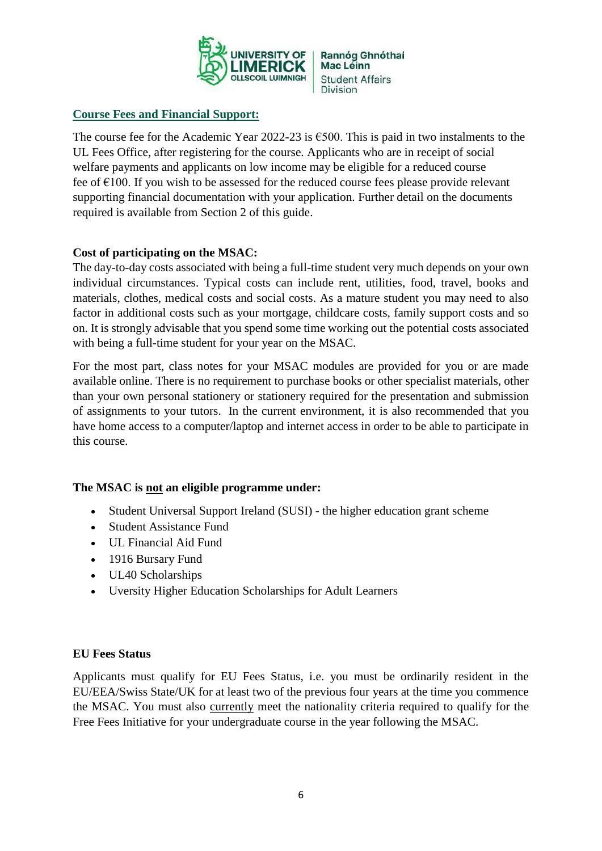

#### **Course Fees and Financial Support:**

The course fee for the Academic Year 2022-23 is  $\epsilon$ 500. This is paid in two instalments to the UL Fees Office, after registering for the course. Applicants who are in receipt of social welfare payments and applicants on low income may be eligible for a reduced course fee of  $E100$ . If you wish to be assessed for the reduced course fees please provide relevant supporting financial documentation with your application. Further detail on the documents required is available from Section 2 of this guide.

#### **Cost of participating on the MSAC:**

The day-to-day costs associated with being a full-time student very much depends on your own individual circumstances. Typical costs can include rent, utilities, food, travel, books and materials, clothes, medical costs and social costs. As a mature student you may need to also factor in additional costs such as your mortgage, childcare costs, family support costs and so on. It is strongly advisable that you spend some time working out the potential costs associated with being a full-time student for your year on the MSAC.

For the most part, class notes for your MSAC modules are provided for you or are made available online. There is no requirement to purchase books or other specialist materials, other than your own personal stationery or stationery required for the presentation and submission of assignments to your tutors. In the current environment, it is also recommended that you have home access to a computer/laptop and internet access in order to be able to participate in this course.

#### **The MSAC is not an eligible programme under:**

- Student Universal Support Ireland (SUSI) the higher education grant scheme
- Student Assistance Fund
- UL Financial Aid Fund
- 1916 Bursary Fund
- UL40 Scholarships
- Uversity Higher Education Scholarships for Adult Learners

#### **EU Fees Status**

Applicants must qualify for EU Fees Status, i.e. you must be ordinarily resident in the EU/EEA/Swiss State/UK for at least two of the previous four years at the time you commence the MSAC. You must also currently meet the nationality criteria required to qualify for the Free Fees Initiative for your undergraduate course in the year following the MSAC.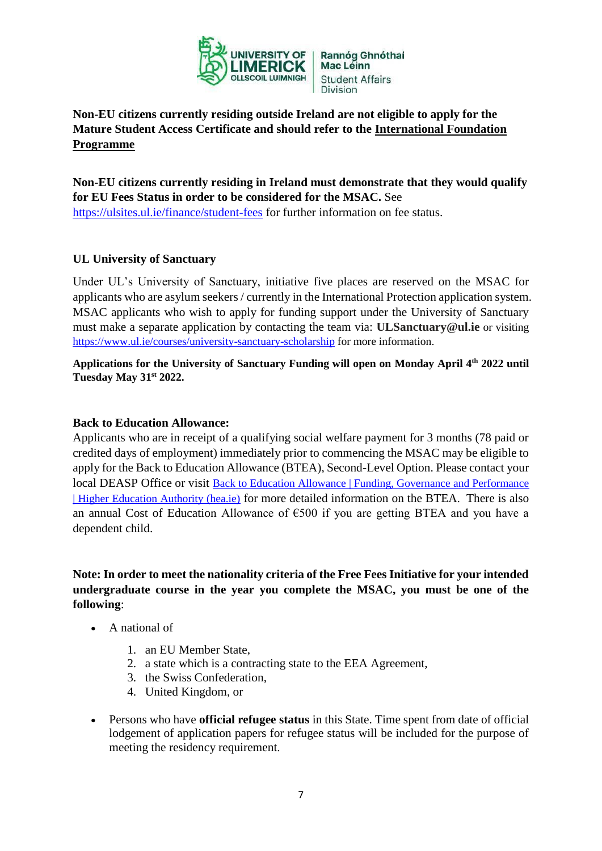

## **Non-EU citizens currently residing outside Ireland are not eligible to apply for the Mature Student Access Certificate and should refer to the [International Foundation](https://ulsites.ul.ie/languagecentre/international-foundation-programme)  [Programme](https://ulsites.ul.ie/languagecentre/international-foundation-programme)**

# **Non-EU citizens currently residing in Ireland must demonstrate that they would qualify for EU Fees Status in order to be considered for the MSAC.** See

<https://ulsites.ul.ie/finance/student-fees> for further information on fee status.

## **UL University of Sanctuary**

Under UL's University of Sanctuary, initiative five places are reserved on the MSAC for applicants who are asylum seekers / currently in the International Protection application system. MSAC applicants who wish to apply for funding support under the University of Sanctuary must make a separate application by contacting the team via: **[ULSanctuary@ul.ie](mailto:ULSanctuary@ul.ie)** or visiting <https://www.ul.ie/courses/university-sanctuary-scholarship> for more information.

**Applications for the University of Sanctuary Funding will open on Monday April 4th 2022 until Tuesday May 31st 2022.**

#### **Back to Education Allowance:**

Applicants who are in receipt of a qualifying social welfare payment for 3 months (78 paid or credited days of employment) immediately prior to commencing the MSAC may be eligible to apply for the Back to Education Allowance (BTEA), Second-Level Option. Please contact your local DEASP Office or visit [Back to Education Allowance | Funding, Governance and Performance](https://hea.ie/funding-governance-performance/funding/student-finance/back-to-education-allowance/)  [| Higher Education Authority \(hea.ie\)](https://hea.ie/funding-governance-performance/funding/student-finance/back-to-education-allowance/) for more detailed information on the BTEA. There is also an annual Cost of Education Allowance of €500 if you are getting BTEA and you have a dependent child.

#### **Note: In order to meet the nationality criteria of the Free Fees Initiative for your intended undergraduate course in the year you complete the MSAC, you must be one of the following**:

- A national of
	- 1. an EU Member State,
	- 2. a state which is a contracting state to the EEA Agreement,
	- 3. the Swiss Confederation,
	- 4. United Kingdom, or
- Persons who have **official refugee status** in this State. Time spent from date of official lodgement of application papers for refugee status will be included for the purpose of meeting the residency requirement.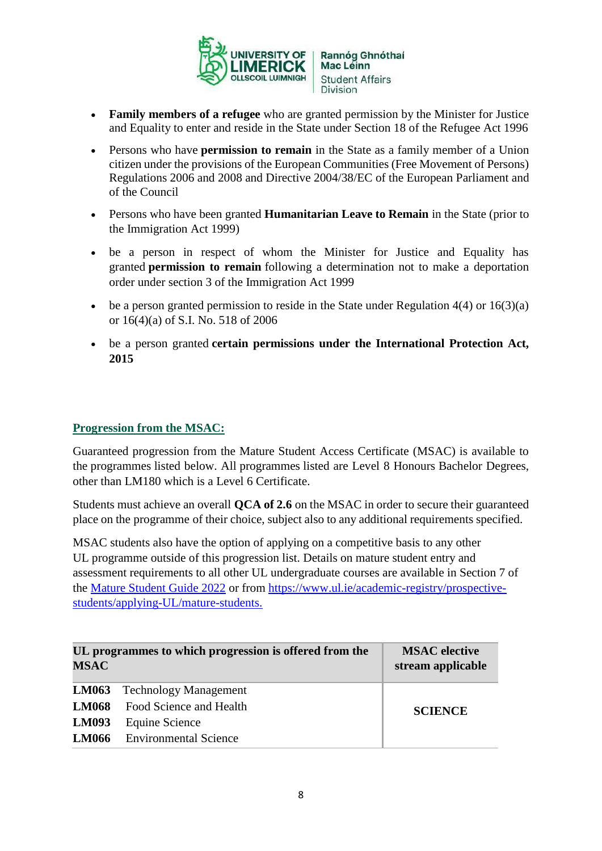

- **Family members of a refugee** who are granted permission by the Minister for Justice and Equality to enter and reside in the State under Section 18 of the Refugee Act 1996
- Persons who have **permission to remain** in the State as a family member of a Union citizen under the provisions of the European Communities (Free Movement of Persons) Regulations 2006 and 2008 and Directive 2004/38/EC of the European Parliament and of the Council
- Persons who have been granted **Humanitarian Leave to Remain** in the State (prior to the Immigration Act 1999)
- be a person in respect of whom the Minister for Justice and Equality has granted **permission to remain** following a determination not to make a deportation order under section 3 of the Immigration Act 1999
- $\bullet$  be a person granted permission to reside in the State under Regulation 4(4) or 16(3)(a) or 16(4)(a) of S.I. No. 518 of 2006
- be a person granted **certain permissions under the International Protection Act, 2015**

#### **Progression from the MSAC:**

Guaranteed progression from the Mature Student Access Certificate (MSAC) is available to the programmes listed below. All programmes listed are Level 8 Honours Bachelor Degrees, other than LM180 which is a Level 6 Certificate.

Students must achieve an overall **QCA of 2.6** on the MSAC in order to secure their guaranteed place on the programme of their choice, subject also to any additional requirements specified.

MSAC students also have the option of applying on a competitive basis to any other UL programme outside of this progression list. Details on mature student entry and assessment requirements to all other UL undergraduate courses are available in Section 7 of the [Mature Student Guide 2022](https://ulsites.ul.ie/mso/sites/default/files/mso_guide_2022-compressed.pdf) or from [https://www.ul.ie/academic-registry/prospective](https://www.ul.ie/academic-registry/prospective-students/applying-UL/mature-students)[students/applying-UL/mature-students.](https://www.ul.ie/academic-registry/prospective-students/applying-UL/mature-students)

| UL programmes to which progression is offered from the<br><b>MSAC</b> |                                      | <b>MSAC</b> elective<br>stream applicable |
|-----------------------------------------------------------------------|--------------------------------------|-------------------------------------------|
|                                                                       | <b>LM063</b> Technology Management   |                                           |
|                                                                       | <b>LM068</b> Food Science and Health | <b>SCIENCE</b>                            |
| <b>LM093</b>                                                          | Equine Science                       |                                           |
|                                                                       | <b>LM066</b> Environmental Science   |                                           |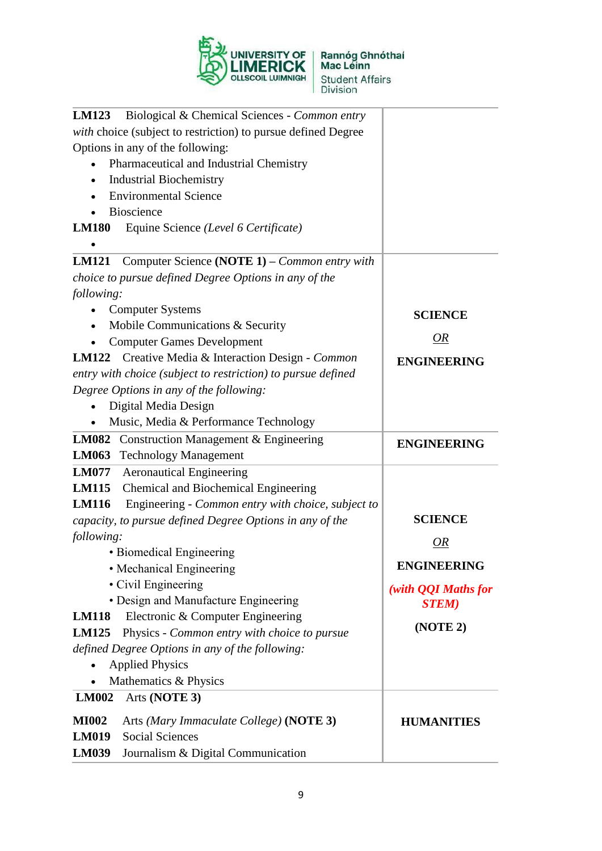

| Biological & Chemical Sciences - Common entry<br><b>LM123</b>      |                     |
|--------------------------------------------------------------------|---------------------|
| with choice (subject to restriction) to pursue defined Degree      |                     |
| Options in any of the following:                                   |                     |
| Pharmaceutical and Industrial Chemistry                            |                     |
| <b>Industrial Biochemistry</b><br>$\bullet$                        |                     |
| <b>Environmental Science</b>                                       |                     |
| Bioscience                                                         |                     |
| Equine Science (Level 6 Certificate)<br><b>LM180</b>               |                     |
| Computer Science (NOTE 1) – Common entry with<br><b>LM121</b>      |                     |
| choice to pursue defined Degree Options in any of the              |                     |
| following:                                                         |                     |
| <b>Computer Systems</b><br>$\bullet$                               | <b>SCIENCE</b>      |
| Mobile Communications & Security                                   |                     |
| <b>Computer Games Development</b>                                  | <i>OR</i>           |
| LM122 Creative Media & Interaction Design - Common                 | <b>ENGINEERING</b>  |
| entry with choice (subject to restriction) to pursue defined       |                     |
| Degree Options in any of the following:                            |                     |
| Digital Media Design                                               |                     |
| Music, Media & Performance Technology                              |                     |
| <b>LM082</b> Construction Management & Engineering                 | <b>ENGINEERING</b>  |
| <b>LM063</b> Technology Management                                 |                     |
| <b>LM077</b><br><b>Aeronautical Engineering</b>                    |                     |
| <b>LM115</b> Chemical and Biochemical Engineering                  |                     |
| Engineering - Common entry with choice, subject to<br><b>LM116</b> |                     |
| capacity, to pursue defined Degree Options in any of the           | <b>SCIENCE</b>      |
| following:                                                         | OR                  |
| • Biomedical Engineering                                           |                     |
| • Mechanical Engineering                                           | <b>ENGINEERING</b>  |
| • Civil Engineering                                                | (with QQI Maths for |
| • Design and Manufacture Engineering                               | <b>STEM</b> )       |
| Electronic & Computer Engineering<br><b>LM118</b>                  | (NOTE 2)            |
| Physics - Common entry with choice to pursue<br><b>LM125</b>       |                     |
| defined Degree Options in any of the following:                    |                     |
| <b>Applied Physics</b>                                             |                     |
| Mathematics & Physics                                              |                     |
| Arts (NOTE 3)<br><b>LM002</b>                                      |                     |
| <b>MI002</b><br>Arts (Mary Immaculate College) (NOTE 3)            | <b>HUMANITIES</b>   |
| <b>Social Sciences</b><br><b>LM019</b>                             |                     |
| Journalism & Digital Communication<br><b>LM039</b>                 |                     |